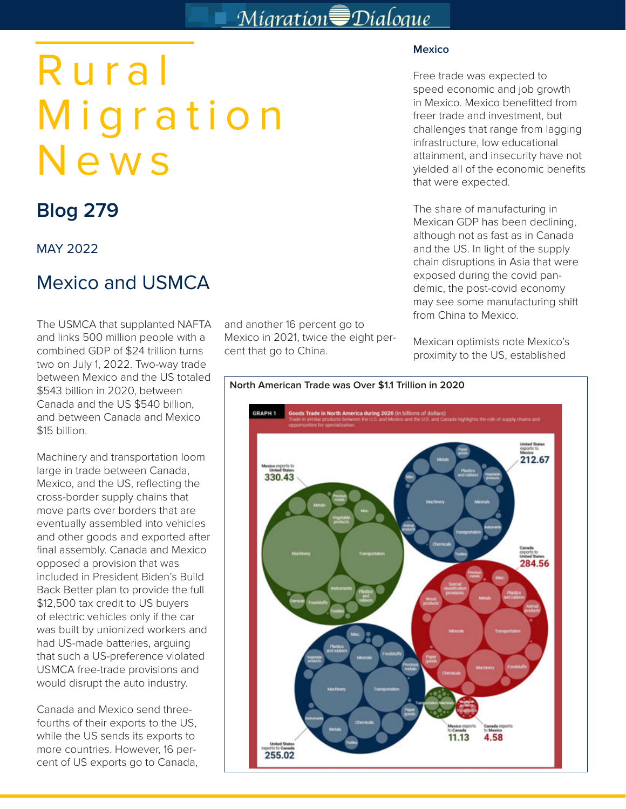## Migration Dialogue

# Rural Migration News

## **Blog 279**

#### MAY 2022

### Mexico and USMCA

The USMCA that supplanted NAFTA and links 500 million people with a combined GDP of \$24 trillion turns two on July 1, 2022. Two-way trade between Mexico and the US totaled \$543 billion in 2020, between Canada and the US \$540 billion, and between Canada and Mexico \$15 billion.

Machinery and transportation loom large in trade between Canada, Mexico, and the US, reflecting the cross-border supply chains that move parts over borders that are eventually assembled into vehicles and other goods and exported after final assembly. Canada and Mexico opposed a provision that was included in President Biden's Build Back Better plan to provide the full \$12,500 tax credit to US buyers of electric vehicles only if the car was built by unionized workers and had US-made batteries, arguing that such a US-preference violated USMCA free-trade provisions and would disrupt the auto industry.

Canada and Mexico send threefourths of their exports to the US, while the US sends its exports to more countries. However, 16 percent of US exports go to Canada, and another 16 percent go to Mexico in 2021, twice the eight percent that go to China.

#### **Mexico**

Free trade was expected to speed economic and job growth in Mexico. Mexico benefitted from freer trade and investment, but challenges that range from lagging infrastructure, low educational attainment, and insecurity have not yielded all of the economic benefits that were expected.

The share of manufacturing in Mexican GDP has been declining, although not as fast as in Canada and the US. In light of the supply chain disruptions in Asia that were exposed during the covid pandemic, the post-covid economy may see some manufacturing shift from China to Mexico.

Mexican optimists note Mexico's proximity to the US, established

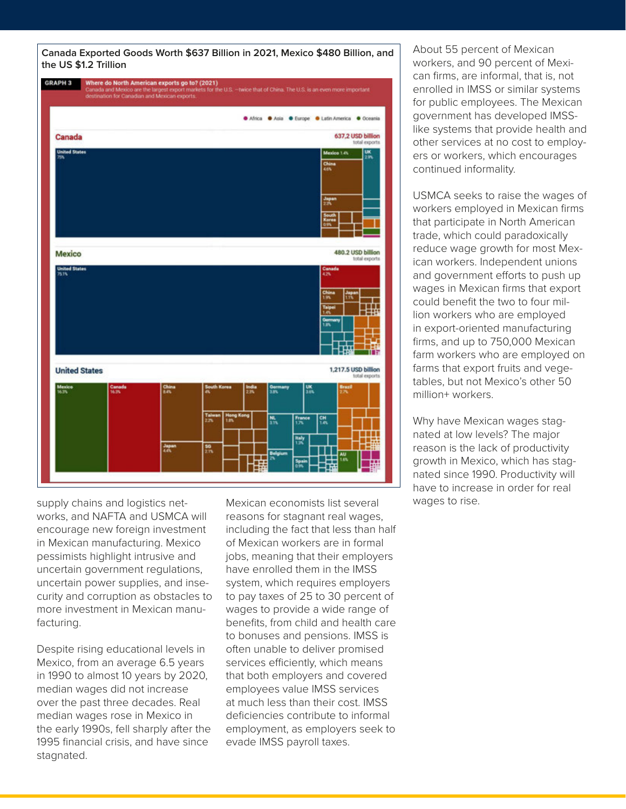**Canada Exported Goods Worth \$637 Billion in 2021, Mexico \$480 Billion, and the US \$1.2 Trillion**



supply chains and logistics networks, and NAFTA and USMCA will encourage new foreign investment in Mexican manufacturing. Mexico pessimists highlight intrusive and uncertain government regulations, uncertain power supplies, and insecurity and corruption as obstacles to more investment in Mexican manufacturing.

Despite rising educational levels in Mexico, from an average 6.5 years in 1990 to almost 10 years by 2020, median wages did not increase over the past three decades. Real median wages rose in Mexico in the early 1990s, fell sharply after the 1995 financial crisis, and have since stagnated.

Mexican economists list several reasons for stagnant real wages, including the fact that less than half of Mexican workers are in formal jobs, meaning that their employers have enrolled them in the IMSS system, which requires employers to pay taxes of 25 to 30 percent of wages to provide a wide range of benefits, from child and health care to bonuses and pensions. IMSS is often unable to deliver promised services efficiently, which means that both employers and covered employees value IMSS services at much less than their cost. IMSS deficiencies contribute to informal employment, as employers seek to evade IMSS payroll taxes.

About 55 percent of Mexican workers, and 90 percent of Mexican firms, are informal, that is, not enrolled in IMSS or similar systems for public employees. The Mexican government has developed IMSSlike systems that provide health and other services at no cost to employers or workers, which encourages continued informality.

USMCA seeks to raise the wages of workers employed in Mexican firms that participate in North American trade, which could paradoxically reduce wage growth for most Mexican workers. Independent unions and government efforts to push up wages in Mexican firms that export could benefit the two to four million workers who are employed in export-oriented manufacturing firms, and up to 750,000 Mexican farm workers who are employed on farms that export fruits and vegetables, but not Mexico's other 50 million+ workers.

Why have Mexican wages stagnated at low levels? The major reason is the lack of productivity growth in Mexico, which has stagnated since 1990. Productivity will have to increase in order for real wages to rise.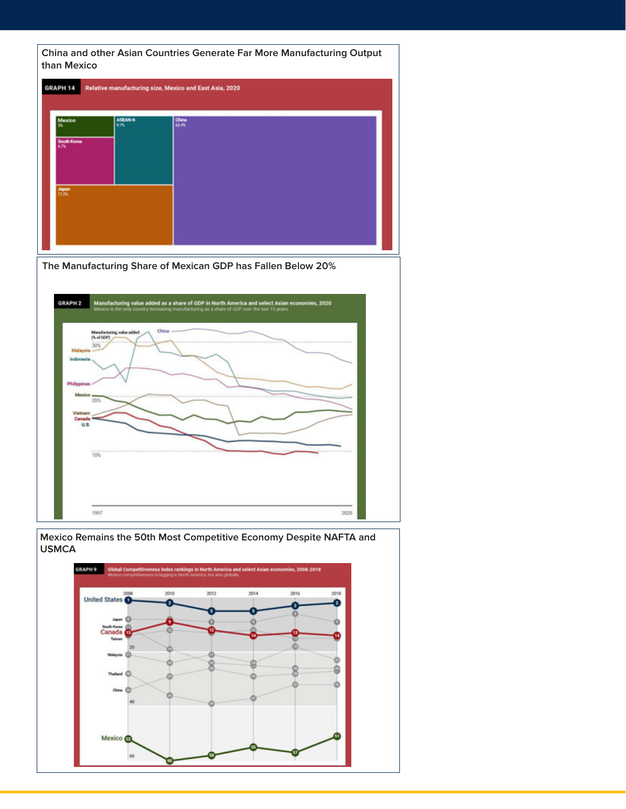**China and other Asian Countries Generate Far More Manufacturing Output than Mexico** 



**The Manufacturing Share of Mexican GDP has Fallen Below 20%**